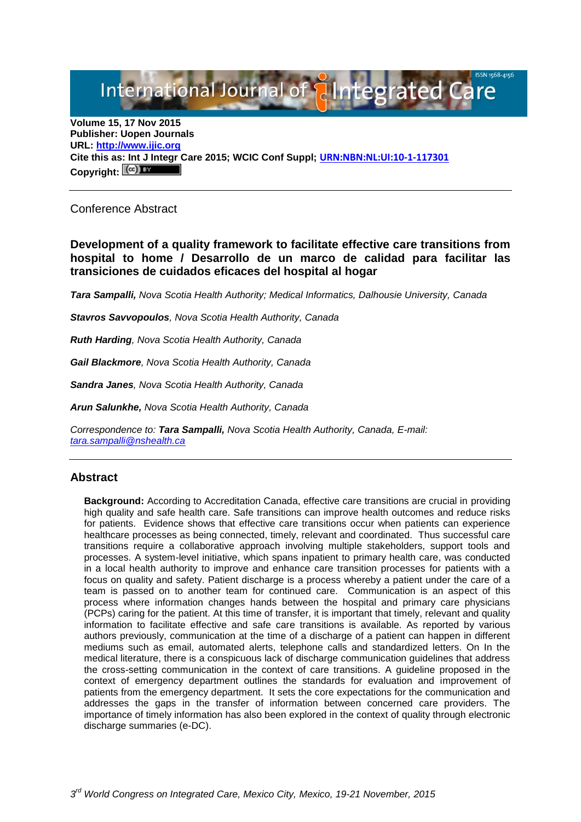# International Journal of **Alntegrated Care**

**Volume 15, 17 Nov 2015 Publisher: Uopen Journals URL: [http://www.ijic.org](http://www.ijic.org/) Cite this as: Int J Integr Care 2015; WCIC Conf Suppl; [URN:NBN:NL:UI:10-1-117301](http://persistent-identifier.nl/?identifier=URN:NBN:NL:UI:10-1-117301)** Copyright:  $(Cc)$ 

# Conference Abstract

**Development of a quality framework to facilitate effective care transitions from hospital to home / Desarrollo de un marco de calidad para facilitar las transiciones de cuidados eficaces del hospital al hogar**

*Tara Sampalli, Nova Scotia Health Authority; Medical Informatics, Dalhousie University, Canada*

*Stavros Savvopoulos, Nova Scotia Health Authority, Canada* 

*Ruth Harding, Nova Scotia Health Authority, Canada* 

*Gail Blackmore, Nova Scotia Health Authority, Canada* 

*Sandra Janes, Nova Scotia Health Authority, Canada* 

*Arun Salunkhe, Nova Scotia Health Authority, Canada*

*Correspondence to: Tara Sampalli, Nova Scotia Health Authority, Canada, E-mail: [tara.sampalli@nshealth.ca](mailto:tara.sampalli@nshealth.ca)*

### **Abstract**

**Background:** According to Accreditation Canada, effective care transitions are crucial in providing high quality and safe health care. Safe transitions can improve health outcomes and reduce risks for patients. Evidence shows that effective care transitions occur when patients can experience healthcare processes as being connected, timely, relevant and coordinated. Thus successful care transitions require a collaborative approach involving multiple stakeholders, support tools and processes. A system-level initiative, which spans inpatient to primary health care, was conducted in a local health authority to improve and enhance care transition processes for patients with a focus on quality and safety. Patient discharge is a process whereby a patient under the care of a team is passed on to another team for continued care. Communication is an aspect of this process where information changes hands between the hospital and primary care physicians (PCPs) caring for the patient. At this time of transfer, it is important that timely, relevant and quality information to facilitate effective and safe care transitions is available. As reported by various authors previously, communication at the time of a discharge of a patient can happen in different mediums such as email, automated alerts, telephone calls and standardized letters. On In the medical literature, there is a conspicuous lack of discharge communication guidelines that address the cross-setting communication in the context of care transitions. A guideline proposed in the context of emergency department outlines the standards for evaluation and improvement of patients from the emergency department. It sets the core expectations for the communication and addresses the gaps in the transfer of information between concerned care providers. The importance of timely information has also been explored in the context of quality through electronic discharge summaries (e-DC).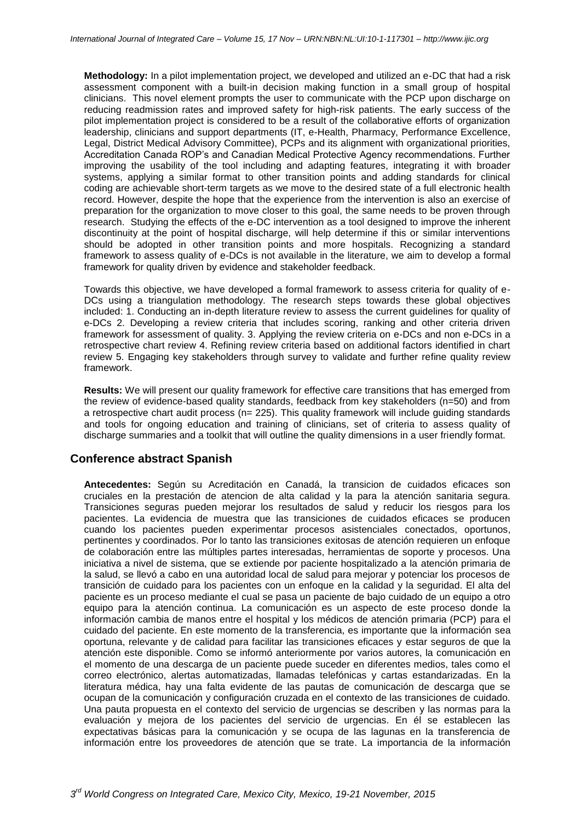**Methodology:** In a pilot implementation project, we developed and utilized an e-DC that had a risk assessment component with a built-in decision making function in a small group of hospital clinicians. This novel element prompts the user to communicate with the PCP upon discharge on reducing readmission rates and improved safety for high-risk patients. The early success of the pilot implementation project is considered to be a result of the collaborative efforts of organization leadership, clinicians and support departments (IT, e-Health, Pharmacy, Performance Excellence, Legal, District Medical Advisory Committee), PCPs and its alignment with organizational priorities, Accreditation Canada ROP's and Canadian Medical Protective Agency recommendations. Further improving the usability of the tool including and adapting features, integrating it with broader systems, applying a similar format to other transition points and adding standards for clinical coding are achievable short-term targets as we move to the desired state of a full electronic health record. However, despite the hope that the experience from the intervention is also an exercise of preparation for the organization to move closer to this goal, the same needs to be proven through research. Studying the effects of the e-DC intervention as a tool designed to improve the inherent discontinuity at the point of hospital discharge, will help determine if this or similar interventions should be adopted in other transition points and more hospitals. Recognizing a standard framework to assess quality of e-DCs is not available in the literature, we aim to develop a formal framework for quality driven by evidence and stakeholder feedback.

Towards this objective, we have developed a formal framework to assess criteria for quality of e-DCs using a triangulation methodology. The research steps towards these global objectives included: 1. Conducting an in-depth literature review to assess the current guidelines for quality of e-DCs 2. Developing a review criteria that includes scoring, ranking and other criteria driven framework for assessment of quality. 3. Applying the review criteria on e-DCs and non e-DCs in a retrospective chart review 4. Refining review criteria based on additional factors identified in chart review 5. Engaging key stakeholders through survey to validate and further refine quality review framework.

**Results:** We will present our quality framework for effective care transitions that has emerged from the review of evidence-based quality standards, feedback from key stakeholders (n=50) and from a retrospective chart audit process (n= 225). This quality framework will include guiding standards and tools for ongoing education and training of clinicians, set of criteria to assess quality of discharge summaries and a toolkit that will outline the quality dimensions in a user friendly format.

#### **Conference abstract Spanish**

**Antecedentes:** Según su Acreditación en Canadá, la transicion de cuidados eficaces son cruciales en la prestación de atencion de alta calidad y la para la atención sanitaria segura. Transiciones seguras pueden mejorar los resultados de salud y reducir los riesgos para los pacientes. La evidencia de muestra que las transiciones de cuidados eficaces se producen cuando los pacientes pueden experimentar procesos asistenciales conectados, oportunos, pertinentes y coordinados. Por lo tanto las transiciones exitosas de atención requieren un enfoque de colaboración entre las múltiples partes interesadas, herramientas de soporte y procesos. Una iniciativa a nivel de sistema, que se extiende por paciente hospitalizado a la atención primaria de la salud, se llevó a cabo en una autoridad local de salud para mejorar y potenciar los procesos de transición de cuidado para los pacientes con un enfoque en la calidad y la seguridad. El alta del paciente es un proceso mediante el cual se pasa un paciente de bajo cuidado de un equipo a otro equipo para la atención continua. La comunicación es un aspecto de este proceso donde la información cambia de manos entre el hospital y los médicos de atención primaria (PCP) para el cuidado del paciente. En este momento de la transferencia, es importante que la información sea oportuna, relevante y de calidad para facilitar las transiciones eficaces y estar seguros de que la atención este disponible. Como se informó anteriormente por varios autores, la comunicación en el momento de una descarga de un paciente puede suceder en diferentes medios, tales como el correo electrónico, alertas automatizadas, llamadas telefónicas y cartas estandarizadas. En la literatura médica, hay una falta evidente de las pautas de comunicación de descarga que se ocupan de la comunicación y configuración cruzada en el contexto de las transiciones de cuidado. Una pauta propuesta en el contexto del servicio de urgencias se describen y las normas para la evaluación y mejora de los pacientes del servicio de urgencias. En él se establecen las expectativas básicas para la comunicación y se ocupa de las lagunas en la transferencia de información entre los proveedores de atención que se trate. La importancia de la información